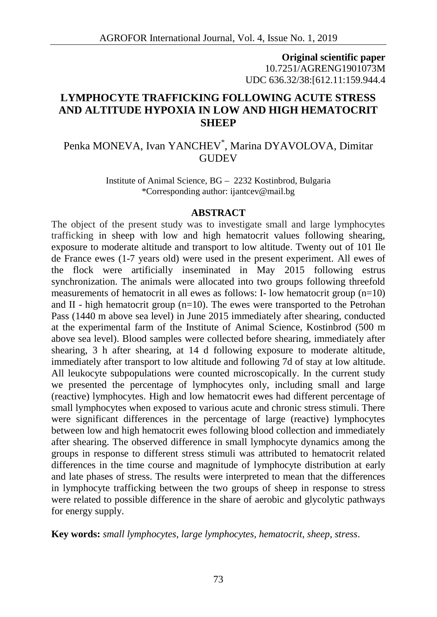**Original scientific paper** 10.7251/AGRENG1901073M UDC 636.32/38:[612.11:159.944.4

# **LYMPHOCYTE TRAFFICKING FOLLOWING ACUTE STRESS AND ALTITUDE HYPOXIA IN LOW AND HIGH HEMATOCRIT SHEEP**

# Penka MONEVA, Ivan YANCHEV\* , Marina DYAVOLOVA, Dimitar **GUDEV**

Institute of Animal Science, BG – 2232 Kostinbrod, Bulgaria \*Corresponding author: ijantcev@mail.bg

#### **ABSTRACT**

The object of the present study was to investigate small and large lymphocytes trafficking in sheep with low and high hematocrit values following shearing, exposure to moderate altitude and transport to low altitude. Twenty out of 101 Ile de France ewes (1-7 years old) were used in the present experiment. All ewes of the flock were artificially inseminated in May 2015 following estrus synchronization. The animals were allocated into two groups following threefold measurements of hematocrit in all ewes as follows: I- low hematocrit group  $(n=10)$ and II - high hematocrit group  $(n=10)$ . The ewes were transported to the Petrohan Pass (1440 m above sea level) in June 2015 immediately after shearing, conducted at the experimental farm of the Institute of Animal Science, Kostinbrod (500 m above sea level). Blood samples were collected before shearing, immediately after shearing, 3 h after shearing, at 14 d following exposure to moderate altitude, immediately after transport to low altitude and following 7d of stay at low altitude. All leukocyte subpopulations were counted microscopically. In the current study we presented the percentage of lymphocytes only, including small and large (reactive) lymphocytes. High and low hematocrit ewes had different percentage of small lymphocytes when exposed to various acute and chronic stress stimuli. There were significant differences in the percentage of large (reactive) lymphocytes between low and high hematocrit ewes following blood collection and immediately after shearing. The observed difference in small lymphocyte dynamics among the groups in response to different stress stimuli was attributed to hematocrit related differences in the time course and magnitude of lymphocyte distribution at early and late phases of stress. The results were interpreted to mean that the differences in lymphocyte trafficking between the two groups of sheep in response to stress were related to possible difference in the share of aerobic and glycolytic pathways for energy supply.

**Key words:** *small lymphocytes, large lymphocytes, hematocrit, sheep, stress.*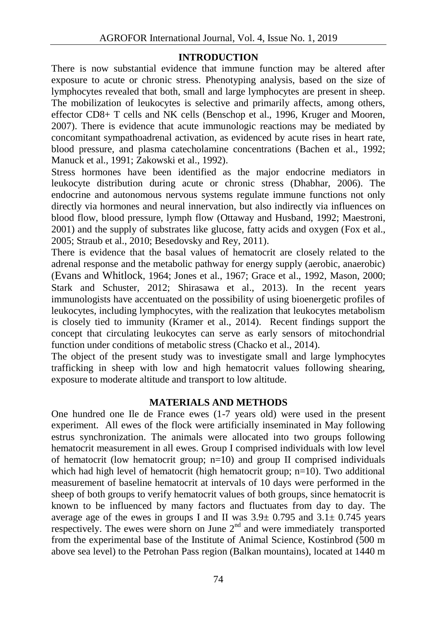## **INTRODUCTION**

There is now substantial evidence that immune function may be altered after exposure to acute or chronic stress. Phenotyping analysis, based on the size of lymphocytes revealed that both, small and large lymphocytes are present in sheep. The mobilization of leukocytes is selective and primarily affects, among others, effector CD8+ T cells and NK cells (Benschop et al., 1996, Kruger and Mooren, 2007). There is evidence that acute immunologic reactions may be mediated by concomitant sympathoadrenal activation, as evidenced by acute rises in heart rate, blood pressure, and plasma catecholamine concentrations (Bachen et al., 1992; Manuck et al., 1991; Zakowski et al., 1992).

Stress hormones have been identified as the major endocrine mediators in leukocyte distribution during acute or chronic stress (Dhabhar, 2006). The endocrine and autonomous nervous systems regulate immune functions not only directly via hormones and neural innervation, but also indirectly via influences on blood flow, blood pressure, lymph flow (Ottaway and Husband, 1992; Maestroni, 2001) and the supply of substrates like glucose, fatty acids and oxygen (Fox et al., 2005; Straub et al., 2010; Besedovsky and Rey, 2011).

There is evidence that the basal values of hematocrit are closely related to the adrenal response and the metabolic pathway for energy supply (aerobic, anaerobic) (Evans and Whitlock, 1964; Jones et al., 1967; Grace et al., 1992, Mason, 2000; Stark and Schuster, 2012; Shirasawa et al., 2013). In the recent years immunologists have accentuated on the possibility of using bioenergetic profiles of leukocytes, including lymphocytes, with the realization that leukocytes metabolism is closely tied to immunity (Kramer et al., 2014). Recent findings support the concept that circulating leukocytes can serve as early sensors of mitochondrial function under conditions of metabolic stress (Chacko et al., 2014).

The object of the present study was to investigate small and large lymphocytes trafficking in sheep with low and high hematocrit values following shearing, exposure to moderate altitude and transport to low altitude.

## **MATERIALS AND METHODS**

One hundred one Ile de France ewes (1-7 years old) were used in the present experiment. All ewes of the flock were artificially inseminated in May following estrus synchronization. The animals were allocated into two groups following hematocrit measurement in all ewes. Group I comprised individuals with low level of hematocrit (low hematocrit group;  $n=10$ ) and group II comprised individuals which had high level of hematocrit (high hematocrit group; n=10). Two additional measurement of baseline hematocrit at intervals of 10 days were performed in the sheep of both groups to verify hematocrit values of both groups, since hematocrit is known to be influenced by many factors and fluctuates from day to day. The average age of the ewes in groups I and II was  $3.9\pm 0.795$  and  $3.1\pm 0.745$  years respectively. The ewes were shorn on June  $2<sup>nd</sup>$  and were immediately transported from the experimental base of the Institute of Animal Science, Kostinbrod (500 m above sea level) to the Petrohan Pass region (Balkan mountains), located at 1440 m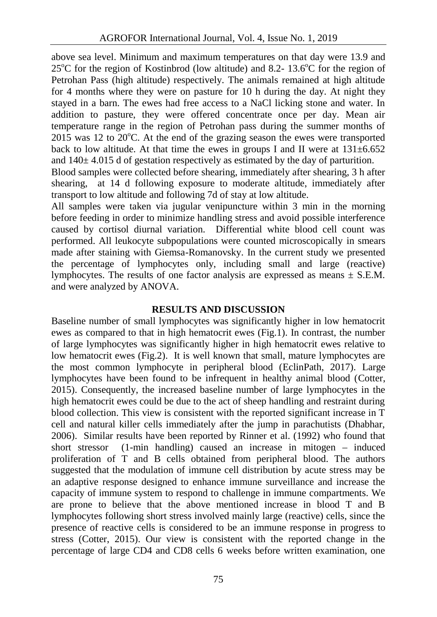above sea level. Minimum and maximum temperatures on that day were 13.9 and  $25^{\circ}$ C for the region of Kostinbrod (low altitude) and 8.2- 13.6 $^{\circ}$ C for the region of Petrohan Pass (high altitude) respectively. The animals remained at high altitude for 4 months where they were on pasture for 10 h during the day. At night they stayed in a barn. The ewes had free access to a NaCl licking stone and water. In addition to pasture, they were offered concentrate once per day. Mean air temperature range in the region of Petrohan pass during the summer months of  $2015$  was 12 to  $20^{\circ}$ C. At the end of the grazing season the ewes were transported back to low altitude. At that time the ewes in groups I and II were at  $131 \pm 6.652$ and  $140± 4.015$  d of gestation respectively as estimated by the day of parturition.

Blood samples were collected before shearing, immediately after shearing, 3 h after shearing, at 14 d following exposure to moderate altitude, immediately after transport to low altitude and following 7d of stay at low altitude.

All samples were taken via jugular venipuncture within 3 min in the morning before feeding in order to minimize handling stress and avoid possible interference caused by cortisol diurnal variation. Differential white blood cell count was performed. All leukocyte subpopulations were counted microscopically in smears made after staining with Giemsa-Romanovsky. In the current study we presented the percentage of lymphocytes only, including small and large (reactive) lymphocytes. The results of one factor analysis are expressed as means  $\pm$  S.E.M. and were analyzed by ANOVA.

## **RESULTS AND DISCUSSION**

Baseline number of small lymphocytes was significantly higher in low hematocrit ewes as compared to that in high hematocrit ewes (Fig.1). In contrast, the number of large lymphocytes was significantly higher in high hematocrit ewes relative to low hematocrit ewes (Fig.2). It is well known that small, mature lymphocytes are the most common lymphocyte in peripheral blood (EclinPath, 2017). Large lymphocytes have been found to be infrequent in healthy animal blood (Cotter, 2015). Consequently, the increased baseline number of large lymphocytes in the high hematocrit ewes could be due to the act of sheep handling and restraint during blood collection. This view is consistent with the reported significant increase in T cell and natural killer cells immediately after the jump in parachutists (Dhabhar, 2006). Similar results have been reported by Rinner et al. (1992) who found that short stressor (1-min handling) caused an increase in mitogen – induced proliferation of T and B cells obtained from peripheral blood. The authors suggested that the modulation of immune cell distribution by acute stress may be an adaptive response designed to enhance immune surveillance and increase the capacity of immune system to respond to challenge in immune compartments. We are prone to believe that the above mentioned increase in blood T and B lymphocytes following short stress involved mainly large (reactive) cells, since the presence of reactive cells is considered to be an immune response in progress to stress (Cotter, 2015). Our view is consistent with the reported change in the percentage of large CD4 and CD8 cells 6 weeks before written examination, one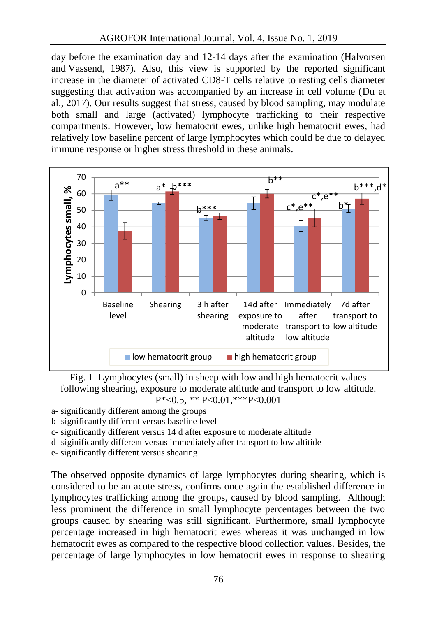day before the examination day and 12-14 days after the examination (Halvorsen and Vassend, 1987). Also, this view is supported by the reported significant increase in the diameter of activated CD8-T cells relative to resting cells diameter suggesting that activation was accompanied by an increase in cell volume (Du et al., 2017). Our results suggest that stress, caused by blood sampling, may modulate both small and large (activated) lymphocyte trafficking to their respective compartments. However, low hematocrit ewes, unlike high hematocrit ewes, had relatively low baseline percent of large lymphocytes which could be due to delayed immune response or higher stress threshold in these animals.



Fig. 1 Lymphocytes (small) in sheep with low and high hematocrit values following shearing, exposure to moderate altitude and transport to low altitude.  $P^* < 0.5$ , \*\*  $P < 0.01$ , \*\*\* $P < 0.001$ 

- a- significantly different among the groups
- b- significantly different versus baseline level
- c- significantly different versus 14 d after exposure to moderate altitude
- d- siginificantly different versus immediately after transport to low altitide
- e- significantly different versus shearing

The observed opposite dynamics of large lymphocytes during shearing, which is considered to be an acute stress, confirms once again the established difference in lymphocytes trafficking among the groups, caused by blood sampling. Although less prominent the difference in small lymphocyte percentages between the two groups caused by shearing was still significant. Furthermore, small lymphocyte percentage increased in high hematocrit ewes whereas it was unchanged in low hematocrit ewes as compared to the respective blood collection values. Besides, the percentage of large lymphocytes in low hematocrit ewes in response to shearing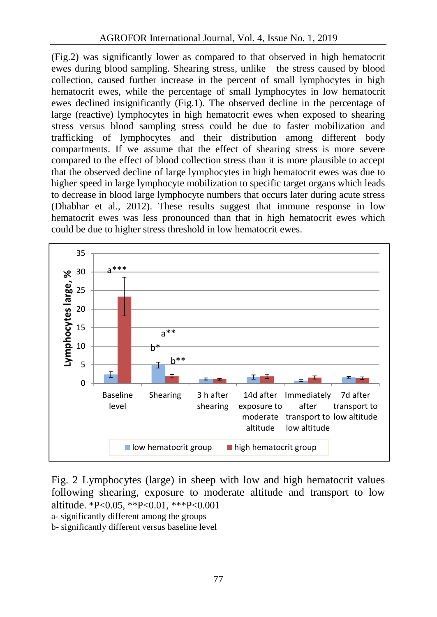(Fig.2) was significantly lower as compared to that observed in high hematocrit ewes during blood sampling. Shearing stress, unlike the stress caused by blood collection, caused further increase in the percent of small lymphocytes in high hematocrit ewes, while the percentage of small lymphocytes in low hematocrit ewes declined insignificantly (Fig.1). The observed decline in the percentage of large (reactive) lymphocytes in high hematocrit ewes when exposed to shearing stress versus blood sampling stress could be due to faster mobilization and trafficking of lymphocytes and their distribution among different body compartments. If we assume that the effect of shearing stress is more severe compared to the effect of blood collection stress than it is more plausible to accept that the observed decline of large lymphocytes in high hematocrit ewes was due to higher speed in large lymphocyte mobilization to specific target organs which leads to decrease in blood large lymphocyte numbers that occurs later during acute stress (Dhabhar et al., 2012). These results suggest that immune response in low hematocrit ewes was less pronounced than that in high hematocrit ewes which could be due to higher stress threshold in low hematocrit ewes.



Fig. 2 Lymphocytes (large) in sheep with low and high hematocrit values following shearing, exposure to moderate altitude and transport to low altitude. \*P<0.05, \*\*P<0.01, \*\*\*P<0.001

- a- significantly different among the groups
- b- significantly different versus baseline level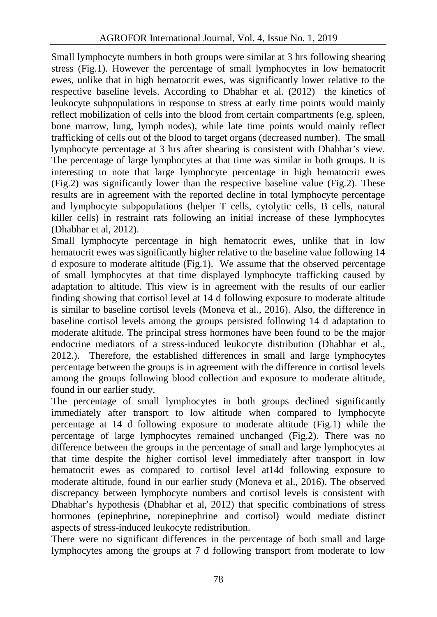Small lymphocyte numbers in both groups were similar at 3 hrs following shearing stress (Fig.1). However the percentage of small lymphocytes in low hematocrit ewes, unlike that in high hematocrit ewes, was significantly lower relative to the respective baseline levels. According to Dhabhar et al. (2012) the kinetics of leukocyte subpopulations in response to stress at early time points would mainly reflect mobilization of cells into the blood from certain compartments (e.g. spleen, bone marrow, lung, lymph nodes), while late time points would mainly reflect trafficking of cells out of the blood to target organs (decreased number). The small lymphocyte percentage at 3 hrs after shearing is consistent with Dhabhar's view. The percentage of large lymphocytes at that time was similar in both groups. It is interesting to note that large lymphocyte percentage in high hematocrit ewes (Fig.2) was significantly lower than the respective baseline value (Fig.2). These results are in agreement with the reported decline in total lymphocyte percentage and lymphocyte subpopulations (helper T cells, cytolytic cells, B cells, natural killer cells) in restraint rats following an initial increase of these lymphocytes (Dhabhar et al, 2012).

Small lymphocyte percentage in high hematocrit ewes, unlike that in low hematocrit ewes was significantly higher relative to the baseline value following 14 d exposure to moderate altitude (Fig.1). We assume that the observed percentage of small lymphocytes at that time displayed lymphocyte trafficking caused by adaptation to altitude. This view is in agreement with the results of our earlier finding showing that cortisol level at 14 d following exposure to moderate altitude is similar to baseline cortisol levels (Moneva et al., 2016). Also, the difference in baseline cortisol levels among the groups persisted following 14 d adaptation to moderate altitude. The principal stress hormones have been found to be the major endocrine mediators of a stress-induced leukocyte distribution (Dhabhar et al., 2012.). Therefore, the established differences in small and large lymphocytes percentage between the groups is in agreement with the difference in cortisol levels among the groups following blood collection and exposure to moderate altitude, found in our earlier study.

The percentage of small lymphocytes in both groups declined significantly immediately after transport to low altitude when compared to lymphocyte percentage at 14 d following exposure to moderate altitude (Fig.1) while the percentage of large lymphocytes remained unchanged (Fig.2). There was no difference between the groups in the percentage of small and large lymphocytes at that time despite the higher cortisol level immediately after transport in low hematocrit ewes as compared to cortisol level at14d following exposure to moderate altitude, found in our earlier study (Moneva et al., 2016). The observed discrepancy between lymphocyte numbers and cortisol levels is consistent with Dhabhar's hypothesis (Dhabhar et al, 2012) that specific combinations of stress hormones (epinephrine, norepinephrine and cortisol) would mediate distinct aspects of stress-induced leukocyte redistribution.

There were no significant differences in the percentage of both small and large lymphocytes among the groups at 7 d following transport from moderate to low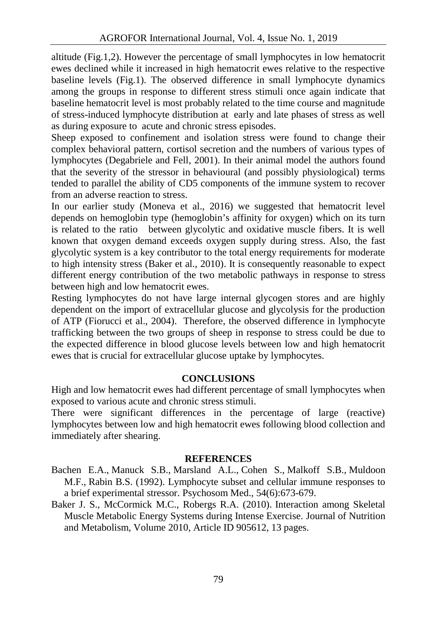altitude (Fig.1,2). However the percentage of small lymphocytes in low hematocrit ewes declined while it increased in high hematocrit ewes relative to the respective baseline levels (Fig.1). The observed difference in small lymphocyte dynamics among the groups in response to different stress stimuli once again indicate that baseline hematocrit level is most probably related to the time course and magnitude of stress-induced lymphocyte distribution at early and late phases of stress as well as during exposure to acute and chronic stress episodes.

Sheep exposed to confinement and isolation stress were found to change their complex behavioral pattern, cortisol secretion and the numbers of various types of lymphocytes (Degabriele and Fell, 2001). In their animal model the authors found that the severity of the stressor in behavioural (and possibly physiological) terms tended to parallel the ability of CD5 components of the immune system to recover from an adverse reaction to stress.

In our earlier study (Moneva et al., 2016) we suggested that hematocrit level depends on hemoglobin type (hemoglobin's affinity for oxygen) which on its turn is related to the ratio between glycolytic and oxidative muscle fibers. It is well known that oxygen demand exceeds oxygen supply during stress. Also, the fast glycolytic system is a key contributor to the total energy requirements for moderate to high intensity stress (Baker et al., 2010). It is consequently reasonable to expect different energy contribution of the two metabolic pathways in response to stress between high and low hematocrit ewes.

Resting lymphocytes do not have large internal glycogen stores and are highly dependent on the import of extracellular glucose and glycolysis for the production of ATP (Fiorucci et al., 2004). Therefore, the observed difference in lymphocyte trafficking between the two groups of sheep in response to stress could be due to the expected difference in blood glucose levels between low and high hematocrit ewes that is crucial for extracellular glucose uptake by lymphocytes.

## **CONCLUSIONS**

High and low hematocrit ewes had different percentage of small lymphocytes when exposed to various acute and chronic stress stimuli.

There were significant differences in the percentage of large (reactive) lymphocytes between low and high hematocrit ewes following blood collection and immediately after shearing.

### **REFERENCES**

- Bachen E.A., Manuck S.B., Marsland A.L., Cohen S., Malkoff S.B., Muldoon M.F., Rabin B.S. (1992). Lymphocyte subset and cellular immune responses to a brief experimental stressor. Psychosom Med., 54(6):673-679.
- Baker J. S., McCormick M.C., Robergs R.A. (2010). Interaction among Skeletal Muscle Metabolic Energy Systems during Intense Exercise. Journal of Nutrition and Metabolism, Volume 2010, Article ID 905612, 13 pages.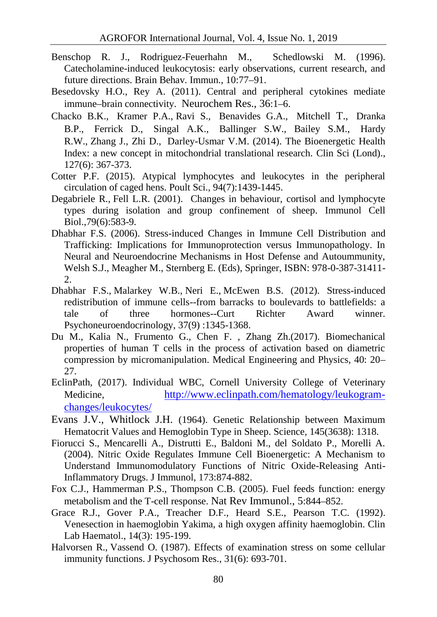- Benschop R. J., Rodriguez-Feuerhahn M., Schedlowski M. (1996). Catecholamine-induced leukocytosis: early observations, current research, and future directions. Brain Behav. Immun., 10:77–91.
- Besedovsky H.O., Rey A. (2011). Central and peripheral cytokines mediate immune–brain connectivity. Neurochem Res., 36:1–6.
- Chacko B.K., Kramer P.A., Ravi S., Benavides G.A., Mitchell T., Dranka B.P., Ferrick D., Singal A.K., Ballinger S.W., Bailey S.M., Hardy R.W., Zhang J., Zhi D., Darley-Usmar V.M. (2014). The Bioenergetic Health Index: a new concept in mitochondrial translational research. Clin Sci (Lond)., 127(6): 367-373.
- Cotter P.F. (2015). Atypical lymphocytes and leukocytes in the peripheral circulation of caged hens. Poult Sci., 94(7):1439-1445.
- Degabriele R., Fell L.R. (2001). Changes in behaviour, cortisol and lymphocyte types during isolation and group confinement of sheep. Immunol Cell Biol.,79(6):583-9.
- Dhabhar F.S. (2006). Stress-induced Changes in Immune Cell Distribution and Trafficking: Implications for Immunoprotection versus Immunopathology. In Neural and Neuroendocrine Mechanisms in Host Defense and Autoummunity, Welsh S.J., Meagher M., Sternberg E. (Eds), Springer, ISBN: 978-0-387-31411- 2.
- Dhabhar F.S., Malarkey W.B., Neri E., McEwen B.S. (2012). Stress-induced redistribution of immune cells--from barracks to boulevards to battlefields: a tale of three hormones--Curt Richter Award winner. Psychoneuroendocrinology, 37(9) :1345-1368.
- Du M., Kalia N., Frumento G., Chen F. , Zhang Zh.(2017). Biomechanical properties of human T cells in the process of activation based on diametric compression by micromanipulation. Medical Engineering and Physics, 40: 20– 27.
- EclinPath, (2017). Individual WBC, Cornell University College of Veterinary Medicine, http://www.eclinpath.com/hematology/leukogram changes/leukocytes/
- Evans J.V., Whitlock J.H. (1964). Genetic Relationship between Maximum Hematocrit Values and Hemoglobin Type in Sheep. Science, 145(3638): 1318.
- Fiorucci S., Mencarelli A., Distrutti E., Baldoni M., del Soldato P., Morelli A. (2004). Nitric Oxide Regulates Immune Cell Bioenergetic: A Mechanism to Understand Immunomodulatory Functions of Nitric Oxide-Releasing Anti-Inflammatory Drugs. J Immunol, 173:874-882.
- Fox C.J., Hammerman P.S., Thompson C.B. (2005). Fuel feeds function: energy metabolism and the T-cell response. Nat Rev Immunol., 5:844–852.
- Grace R.J., Gover P.A., Treacher D.F., Heard S.E., Pearson T.C. (1992). Venesection in haemoglobin Yakima, a high oxygen affinity haemoglobin. Clin Lab Haematol., 14(3): 195-199.
- Halvorsen R., Vassend O. (1987). Effects of examination stress on some cellular immunity functions. J Psychosom Res., 31(6): 693-701.